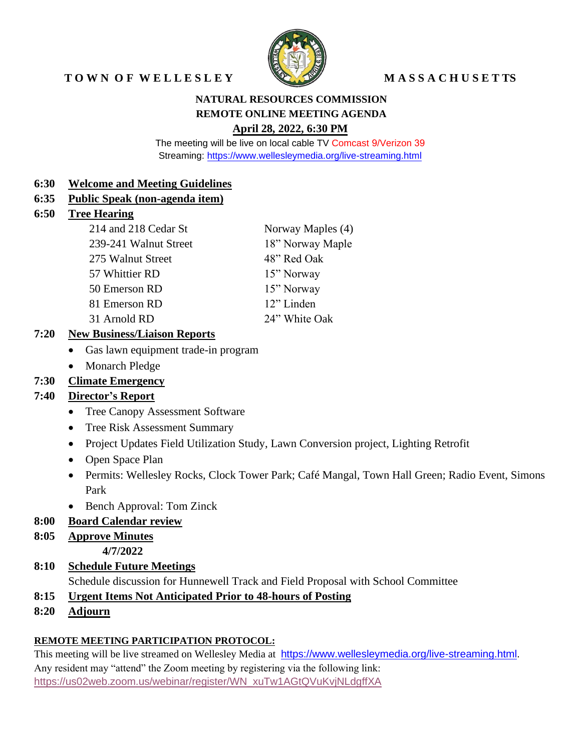# TOWN OF WELLESLEY WASSACHUSETTS



## **NATURAL RESOURCES COMMISSION REMOTE ONLINE MEETING AGENDA April 28, 2022, 6:30 PM**

The meeting will be live on local cable TV Comcast 9/Verizon 39 Streaming:<https://www.wellesleymedia.org/live-streaming.html>

#### **6:30 Welcome and Meeting Guidelines**

#### **6:35 Public Speak (non-agenda item)**

#### **6:50 Tree Hearing**

| 214 and 218 Cedar St  | Norway Maples (4) |
|-----------------------|-------------------|
| 239-241 Walnut Street | 18" Norway Maple  |
| 275 Walnut Street     | 48" Red Oak       |
| 57 Whittier RD        | 15" Norway        |
| 50 Emerson RD         | 15" Norway        |
| 81 Emerson RD         | 12" Linden        |
| 31 Arnold RD          | 24" White Oak     |

## **7:20 New Business/Liaison Reports**

- Gas lawn equipment trade-in program
- Monarch Pledge

## **7:30 Climate Emergency**

## **7:40 Director's Report**

- Tree Canopy Assessment Software
- Tree Risk Assessment Summary
- Project Updates Field Utilization Study, Lawn Conversion project, Lighting Retrofit
- Open Space Plan
- Permits: Wellesley Rocks, Clock Tower Park; Café Mangal, Town Hall Green; Radio Event, Simons Park
- Bench Approval: Tom Zinck

## **8:00 Board Calendar review**

#### **8:05 Approve Minutes**

**4/7/2022**

# **8:10 Schedule Future Meetings**

Schedule discussion for Hunnewell Track and Field Proposal with School Committee

- **8:15 Urgent Items Not Anticipated Prior to 48-hours of Posting**
- **8:20 Adjourn**

## **REMOTE MEETING PARTICIPATION PROTOCOL:**

This meeting will be live streamed on Wellesley Media at [https://www.wellesleymedia.org/live-streaming.html.](https://www.wellesleymedia.org/live-streaming.html) Any resident may "attend" the Zoom meeting by registering via the following link: [https://us02web.zoom.us/webinar/register/WN\\_xuTw1AGtQVuKvjNLdgffXA](https://us02web.zoom.us/webinar/register/WN_xuTw1AGtQVuKvjNLdgffXA)